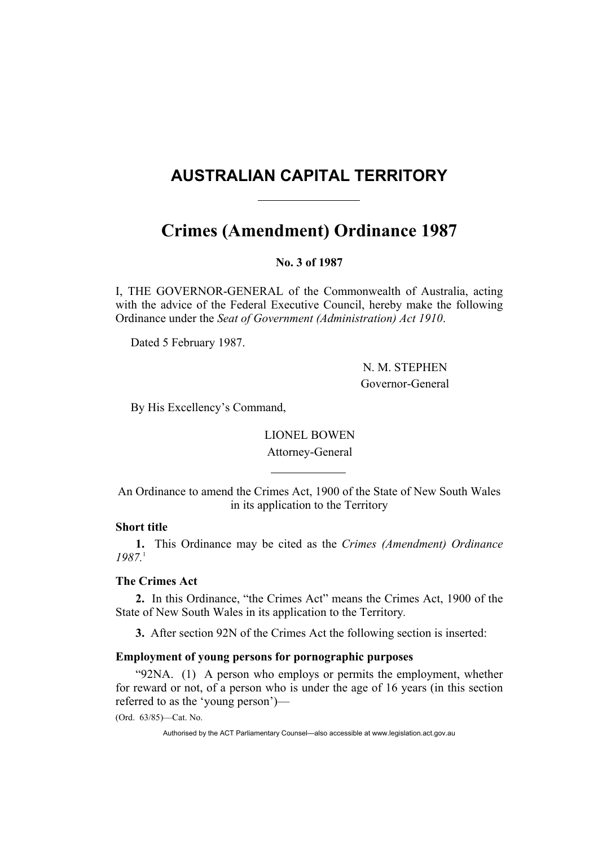## **AUSTRALIAN CAPITAL TERRITORY**

# **Crimes (Amendment) Ordinance 1987**

**No. 3 of 1987** 

I, THE GOVERNOR-GENERAL of the Commonwealth of Australia, acting with the advice of the Federal Executive Council, hereby make the following Ordinance under the *Seat of Government (Administration) Act 1910*.

Dated 5 February 1987.

 N. M. STEPHEN Governor-General

By His Excellency's Command,

LIONEL BOWEN Attorney-General

An Ordinance to amend the Crimes Act, 1900 of the State of New South Wales in its application to the Territory

#### **Short title**

**1.** This Ordinance may be cited as the *Crimes (Amendment) Ordinance 1987.*<sup>1</sup>

## **The Crimes Act**

**2.** In this Ordinance, "the Crimes Act" means the Crimes Act, 1900 of the State of New South Wales in its application to the Territory*.*

**3.** After section 92N of the Crimes Act the following section is inserted:

### **Employment of young persons for pornographic purposes**

"92NA. (1) A person who employs or permits the employment, whether for reward or not, of a person who is under the age of 16 years (in this section referred to as the 'young person')—

(Ord. 63/85)—Cat. No.

Authorised by the ACT Parliamentary Counsel—also accessible at www.legislation.act.gov.au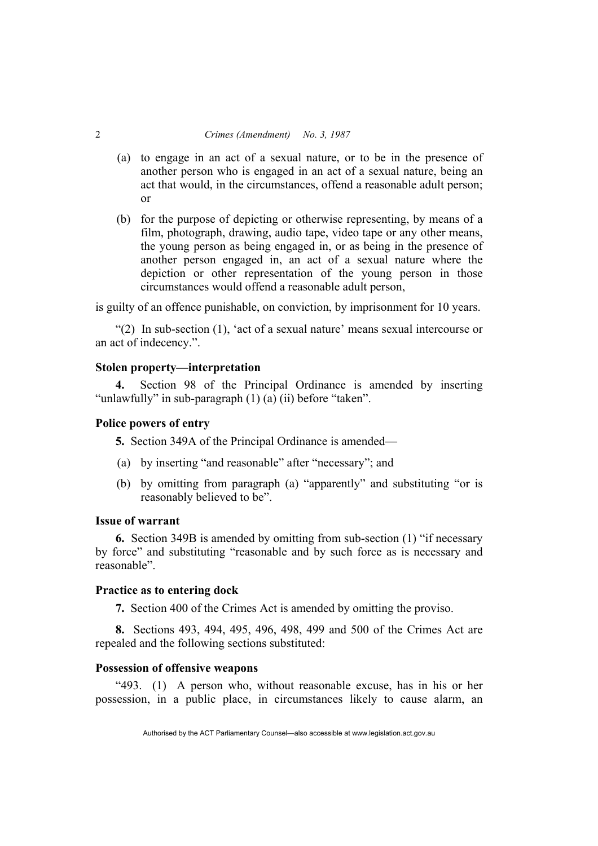#### 2 *Crimes (Amendment) No. 3, 1987*

- (a) to engage in an act of a sexual nature, or to be in the presence of another person who is engaged in an act of a sexual nature, being an act that would, in the circumstances, offend a reasonable adult person; or
- (b) for the purpose of depicting or otherwise representing, by means of a film, photograph, drawing, audio tape, video tape or any other means, the young person as being engaged in, or as being in the presence of another person engaged in, an act of a sexual nature where the depiction or other representation of the young person in those circumstances would offend a reasonable adult person,

is guilty of an offence punishable, on conviction, by imprisonment for 10 years.

"(2) In sub-section (1), 'act of a sexual nature' means sexual intercourse or an act of indecency.".

#### **Stolen property—interpretation**

**4.** Section 98 of the Principal Ordinance is amended by inserting "unlawfully" in sub-paragraph (1) (a) (ii) before "taken".

## **Police powers of entry**

**5.** Section 349A of the Principal Ordinance is amended—

- (a) by inserting "and reasonable" after "necessary"; and
- (b) by omitting from paragraph (a) "apparently" and substituting "or is reasonably believed to be".

## **Issue of warrant**

**6.** Section 349B is amended by omitting from sub-section (1) "if necessary by force" and substituting "reasonable and by such force as is necessary and reasonable".

#### **Practice as to entering dock**

**7.** Section 400 of the Crimes Act is amended by omitting the proviso.

**8.** Sections 493, 494, 495, 496, 498, 499 and 500 of the Crimes Act are repealed and the following sections substituted:

#### **Possession of offensive weapons**

"493. (1) A person who, without reasonable excuse, has in his or her possession, in a public place, in circumstances likely to cause alarm, an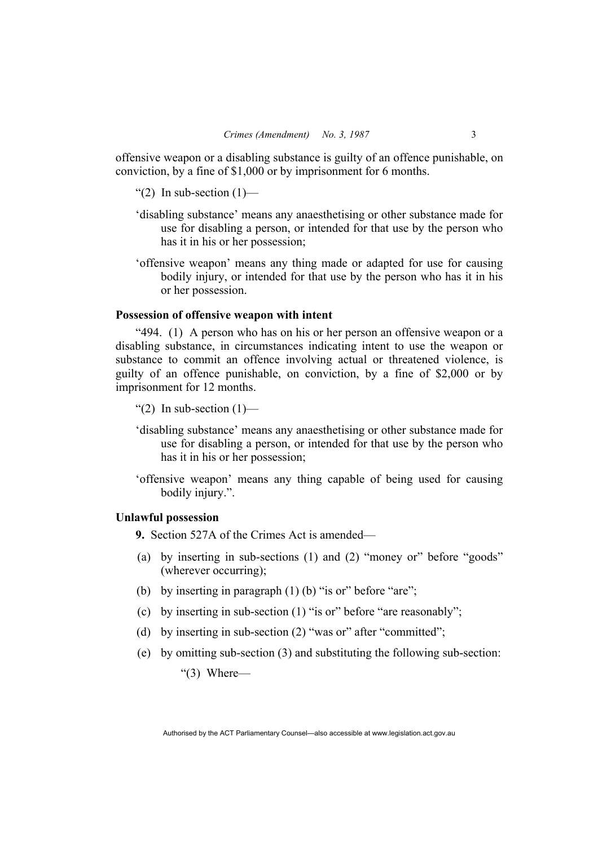offensive weapon or a disabling substance is guilty of an offence punishable, on conviction, by a fine of \$1,000 or by imprisonment for 6 months.

- "(2) In sub-section  $(1)$ —
- 'disabling substance' means any anaesthetising or other substance made for use for disabling a person, or intended for that use by the person who has it in his or her possession;
- 'offensive weapon' means any thing made or adapted for use for causing bodily injury, or intended for that use by the person who has it in his or her possession.

#### **Possession of offensive weapon with intent**

"494. (1) A person who has on his or her person an offensive weapon or a disabling substance, in circumstances indicating intent to use the weapon or substance to commit an offence involving actual or threatened violence, is guilty of an offence punishable, on conviction, by a fine of \$2,000 or by imprisonment for 12 months.

"(2) In sub-section  $(1)$ —

- 'disabling substance' means any anaesthetising or other substance made for use for disabling a person, or intended for that use by the person who has it in his or her possession;
- 'offensive weapon' means any thing capable of being used for causing bodily injury.".

## **Unlawful possession**

**9.** Section 527A of the Crimes Act is amended—

- (a) by inserting in sub-sections (1) and (2) "money or" before "goods" (wherever occurring);
- (b) by inserting in paragraph (1) (b) "is or" before "are";
- (c) by inserting in sub-section (1) "is or" before "are reasonably";
- (d) by inserting in sub-section (2) "was or" after "committed";
- (e) by omitting sub-section (3) and substituting the following sub-section:

" $(3)$  Where—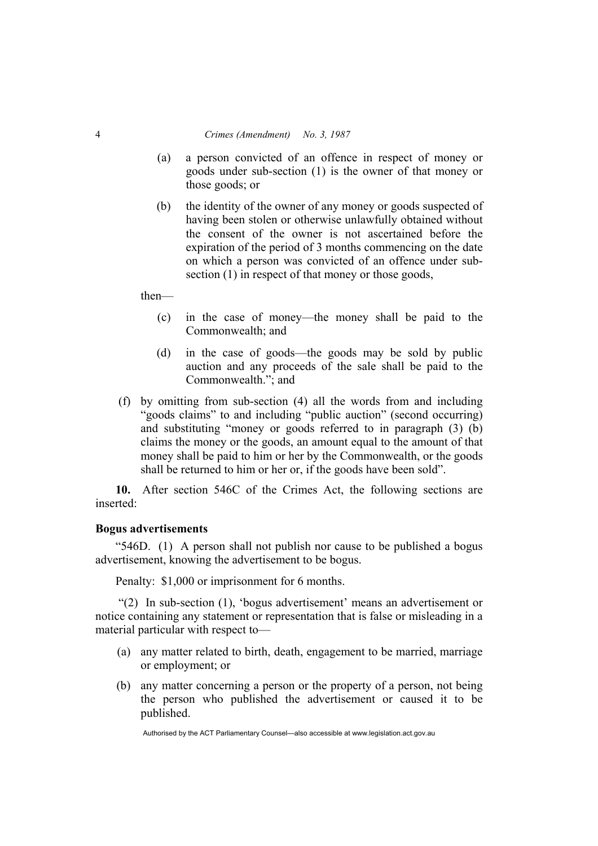#### 4 *Crimes (Amendment) No. 3, 1987*

- (a) a person convicted of an offence in respect of money or goods under sub-section (1) is the owner of that money or those goods; or
- (b) the identity of the owner of any money or goods suspected of having been stolen or otherwise unlawfully obtained without the consent of the owner is not ascertained before the expiration of the period of 3 months commencing on the date on which a person was convicted of an offence under subsection (1) in respect of that money or those goods,

then—

- (c) in the case of money—the money shall be paid to the Commonwealth; and
- (d) in the case of goods—the goods may be sold by public auction and any proceeds of the sale shall be paid to the Commonwealth."; and
- (f) by omitting from sub-section (4) all the words from and including "goods claims" to and including "public auction" (second occurring) and substituting "money or goods referred to in paragraph (3) (b) claims the money or the goods, an amount equal to the amount of that money shall be paid to him or her by the Commonwealth, or the goods shall be returned to him or her or, if the goods have been sold".

**10.** After section 546C of the Crimes Act, the following sections are inserted:

#### **Bogus advertisements**

"546D. (1) A person shall not publish nor cause to be published a bogus advertisement, knowing the advertisement to be bogus.

Penalty: \$1,000 or imprisonment for 6 months.

 "(2) In sub-section (1), 'bogus advertisement' means an advertisement or notice containing any statement or representation that is false or misleading in a material particular with respect to—

- (a) any matter related to birth, death, engagement to be married, marriage or employment; or
- (b) any matter concerning a person or the property of a person, not being the person who published the advertisement or caused it to be published.

Authorised by the ACT Parliamentary Counsel—also accessible at www.legislation.act.gov.au